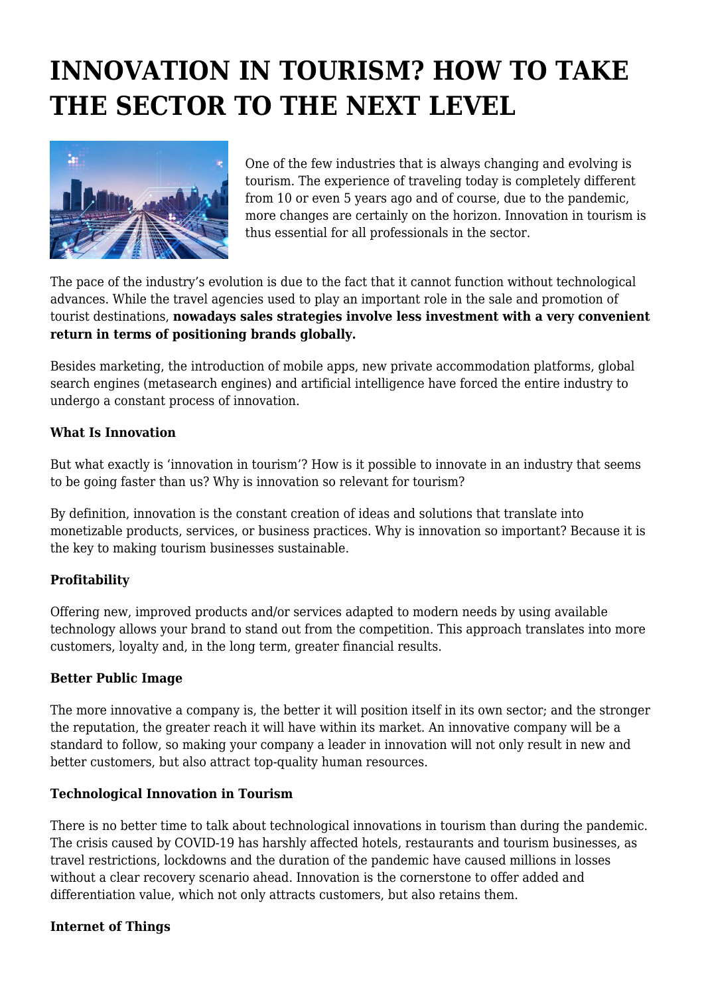# **INNOVATION IN TOURISM? HOW TO TAKE THE SECTOR TO THE NEXT LEVEL**



One of the few industries that is always changing and evolving is tourism. The experience of traveling today is completely different from 10 or even 5 years ago and of course, due to the pandemic, more changes are certainly on the horizon. Innovation in tourism is thus essential for all professionals in the sector.

The pace of the industry's evolution is due to the fact that it cannot function without technological advances. While the travel agencies used to play an important role in the sale and promotion of tourist destinations, **nowadays sales strategies involve less investment with a very convenient return in terms of positioning brands globally.**

Besides marketing, the introduction of mobile apps, new private accommodation platforms, global search engines (metasearch engines) and artificial intelligence have forced the entire industry to undergo a constant process of innovation.

## **What Is Innovation**

But what exactly is 'innovation in tourism'? How is it possible to innovate in an industry that seems to be going faster than us? Why is innovation so relevant for tourism?

By definition, innovation is the constant creation of ideas and solutions that translate into monetizable products, services, or business practices. Why is innovation so important? Because it is the key to making tourism businesses sustainable.

# **Profitability**

Offering new, improved products and/or services adapted to modern needs by using available technology allows your brand to stand out from the competition. This approach translates into more customers, loyalty and, in the long term, greater financial results.

## **Better Public Image**

The more innovative a company is, the better it will position itself in its own sector; and the stronger the reputation, the greater reach it will have within its market. An innovative company will be a standard to follow, so making your company a leader in innovation will not only result in new and better customers, but also attract top-quality human resources.

## **Technological Innovation in Tourism**

There is no better time to talk about technological innovations in tourism than during the pandemic. The crisis caused by COVID-19 has harshly affected hotels, restaurants and tourism businesses, as travel restrictions, lockdowns and the duration of the pandemic have caused millions in losses without a clear recovery scenario ahead. Innovation is the cornerstone to offer added and differentiation value, which not only attracts customers, but also retains them.

## **Internet of Things**